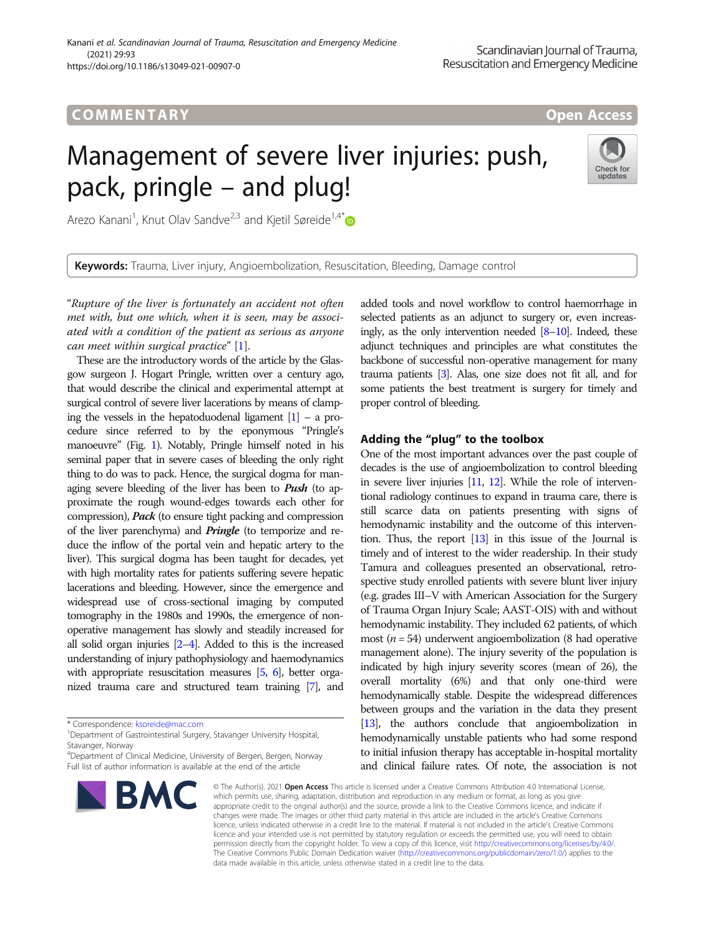# COMM EN TARY Open Access

# Management of severe liver injuries: push, pack, pringle – and plug!



Arezo Kanani<sup>1</sup>, Knut Olav Sandve<sup>2,3</sup> and Kjetil Søreide<sup>1,4[\\*](http://orcid.org/0000-0001-7594-4354)</sup>

Keywords: Trauma, Liver injury, Angioembolization, Resuscitation, Bleeding, Damage control

"Rupture of the liver is fortunately an accident not often met with, but one which, when it is seen, may be associated with a condition of the patient as serious as anyone can meet within surgical practice" [\[1](#page-3-0)].

These are the introductory words of the article by the Glasgow surgeon J. Hogart Pringle, written over a century ago, that would describe the clinical and experimental attempt at surgical control of severe liver lacerations by means of clamping the vessels in the hepatoduodenal ligament  $[1]$  $[1]$  – a procedure since referred to by the eponymous "Pringle's manoeuvre" (Fig. [1](#page-1-0)). Notably, Pringle himself noted in his seminal paper that in severe cases of bleeding the only right thing to do was to pack. Hence, the surgical dogma for managing severe bleeding of the liver has been to **Push** (to approximate the rough wound-edges towards each other for compression), Pack (to ensure tight packing and compression of the liver parenchyma) and Pringle (to temporize and reduce the inflow of the portal vein and hepatic artery to the liver). This surgical dogma has been taught for decades, yet with high mortality rates for patients suffering severe hepatic lacerations and bleeding. However, since the emergence and widespread use of cross-sectional imaging by computed tomography in the 1980s and 1990s, the emergence of nonoperative management has slowly and steadily increased for all solid organ injuries [\[2](#page-3-0)–[4](#page-3-0)]. Added to this is the increased understanding of injury pathophysiology and haemodynamics with appropriate resuscitation measures [[5](#page-3-0), [6\]](#page-3-0), better organized trauma care and structured team training [\[7](#page-3-0)], and

<sup>4</sup> Department of Clinical Medicine, University of Bergen, Bergen, Norway Full list of author information is available at the end of the article



added tools and novel workflow to control haemorrhage in selected patients as an adjunct to surgery or, even increasingly, as the only intervention needed [\[8](#page-3-0)–[10\]](#page-3-0). Indeed, these adjunct techniques and principles are what constitutes the backbone of successful non-operative management for many trauma patients [[3](#page-3-0)]. Alas, one size does not fit all, and for some patients the best treatment is surgery for timely and proper control of bleeding.

## Adding the "plug" to the toolbox

One of the most important advances over the past couple of decades is the use of angioembolization to control bleeding in severe liver injuries [\[11](#page-3-0), [12](#page-3-0)]. While the role of interventional radiology continues to expand in trauma care, there is still scarce data on patients presenting with signs of hemodynamic instability and the outcome of this intervention. Thus, the report [[13\]](#page-3-0) in this issue of the Journal is timely and of interest to the wider readership. In their study Tamura and colleagues presented an observational, retrospective study enrolled patients with severe blunt liver injury (e.g. grades III–V with American Association for the Surgery of Trauma Organ Injury Scale; AAST-OIS) with and without hemodynamic instability. They included 62 patients, of which most ( $n = 54$ ) underwent angioembolization (8 had operative management alone). The injury severity of the population is indicated by high injury severity scores (mean of 26), the overall mortality (6%) and that only one-third were hemodynamically stable. Despite the widespread differences between groups and the variation in the data they present [[13\]](#page-3-0), the authors conclude that angioembolization in hemodynamically unstable patients who had some respond to initial infusion therapy has acceptable in-hospital mortality and clinical failure rates. Of note, the association is not

© The Author(s). 2021 Open Access This article is licensed under a Creative Commons Attribution 4.0 International License, which permits use, sharing, adaptation, distribution and reproduction in any medium or format, as long as you give appropriate credit to the original author(s) and the source, provide a link to the Creative Commons licence, and indicate if changes were made. The images or other third party material in this article are included in the article's Creative Commons licence, unless indicated otherwise in a credit line to the material. If material is not included in the article's Creative Commons licence and your intended use is not permitted by statutory regulation or exceeds the permitted use, you will need to obtain permission directly from the copyright holder. To view a copy of this licence, visit [http://creativecommons.org/licenses/by/4.0/.](http://creativecommons.org/licenses/by/4.0/) The Creative Commons Public Domain Dedication waiver [\(http://creativecommons.org/publicdomain/zero/1.0/](http://creativecommons.org/publicdomain/zero/1.0/)) applies to the data made available in this article, unless otherwise stated in a credit line to the data.

<sup>\*</sup> Correspondence: [ksoreide@mac.com](mailto:ksoreide@mac.com) <sup>1</sup>

<sup>&</sup>lt;sup>1</sup>Department of Gastrointestinal Surgery, Stavanger University Hospital, Stavanger, Norway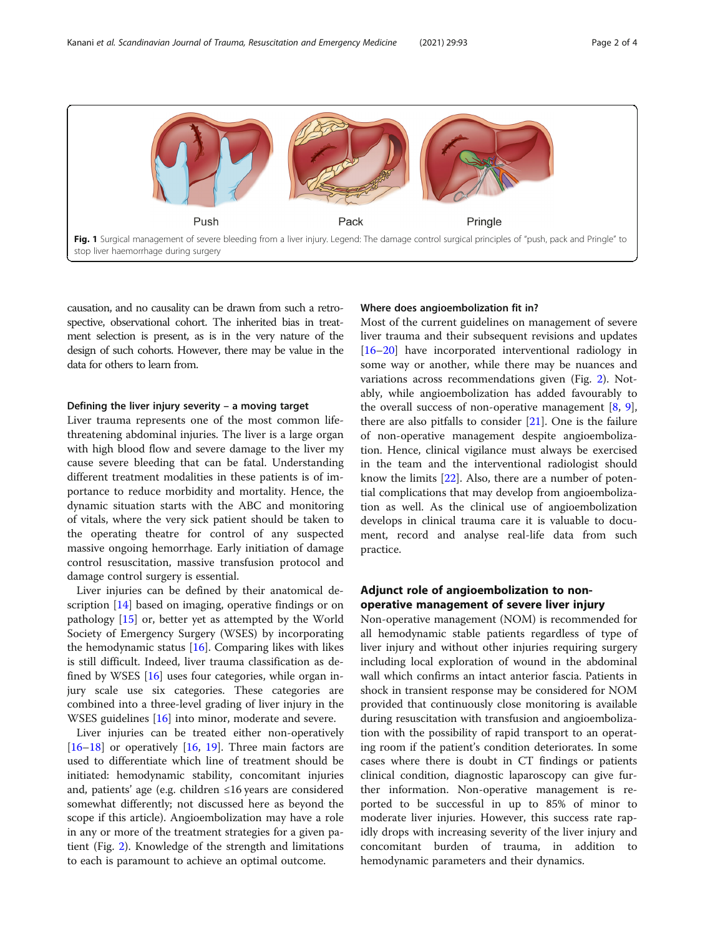<span id="page-1-0"></span>

causation, and no causality can be drawn from such a retrospective, observational cohort. The inherited bias in treatment selection is present, as is in the very nature of the design of such cohorts. However, there may be value in the data for others to learn from.

## Defining the liver injury severity – a moving target

Liver trauma represents one of the most common lifethreatening abdominal injuries. The liver is a large organ with high blood flow and severe damage to the liver my cause severe bleeding that can be fatal. Understanding different treatment modalities in these patients is of importance to reduce morbidity and mortality. Hence, the dynamic situation starts with the ABC and monitoring of vitals, where the very sick patient should be taken to the operating theatre for control of any suspected massive ongoing hemorrhage. Early initiation of damage control resuscitation, massive transfusion protocol and damage control surgery is essential.

Liver injuries can be defined by their anatomical description [[14\]](#page-3-0) based on imaging, operative findings or on pathology [\[15](#page-3-0)] or, better yet as attempted by the World Society of Emergency Surgery (WSES) by incorporating the hemodynamic status [\[16\]](#page-3-0). Comparing likes with likes is still difficult. Indeed, liver trauma classification as defined by WSES [[16\]](#page-3-0) uses four categories, while organ injury scale use six categories. These categories are combined into a three-level grading of liver injury in the WSES guidelines [\[16\]](#page-3-0) into minor, moderate and severe.

Liver injuries can be treated either non-operatively [[16](#page-3-0)–[18](#page-3-0)] or operatively [[16](#page-3-0), [19\]](#page-3-0). Three main factors are used to differentiate which line of treatment should be initiated: hemodynamic stability, concomitant injuries and, patients' age (e.g. children ≤16 years are considered somewhat differently; not discussed here as beyond the scope if this article). Angioembolization may have a role in any or more of the treatment strategies for a given patient (Fig. [2](#page-2-0)). Knowledge of the strength and limitations to each is paramount to achieve an optimal outcome.

## Where does angioembolization fit in?

Most of the current guidelines on management of severe liver trauma and their subsequent revisions and updates [[16](#page-3-0)–[20](#page-3-0)] have incorporated interventional radiology in some way or another, while there may be nuances and variations across recommendations given (Fig. [2](#page-2-0)). Notably, while angioembolization has added favourably to the overall success of non-operative management [[8,](#page-3-0) [9](#page-3-0)], there are also pitfalls to consider  $[21]$  $[21]$ . One is the failure of non-operative management despite angioembolization. Hence, clinical vigilance must always be exercised in the team and the interventional radiologist should know the limits [[22](#page-3-0)]. Also, there are a number of potential complications that may develop from angioembolization as well. As the clinical use of angioembolization develops in clinical trauma care it is valuable to document, record and analyse real-life data from such practice.

# Adjunct role of angioembolization to nonoperative management of severe liver injury

Non-operative management (NOM) is recommended for all hemodynamic stable patients regardless of type of liver injury and without other injuries requiring surgery including local exploration of wound in the abdominal wall which confirms an intact anterior fascia. Patients in shock in transient response may be considered for NOM provided that continuously close monitoring is available during resuscitation with transfusion and angioembolization with the possibility of rapid transport to an operating room if the patient's condition deteriorates. In some cases where there is doubt in CT findings or patients clinical condition, diagnostic laparoscopy can give further information. Non-operative management is reported to be successful in up to 85% of minor to moderate liver injuries. However, this success rate rapidly drops with increasing severity of the liver injury and concomitant burden of trauma, in addition to hemodynamic parameters and their dynamics.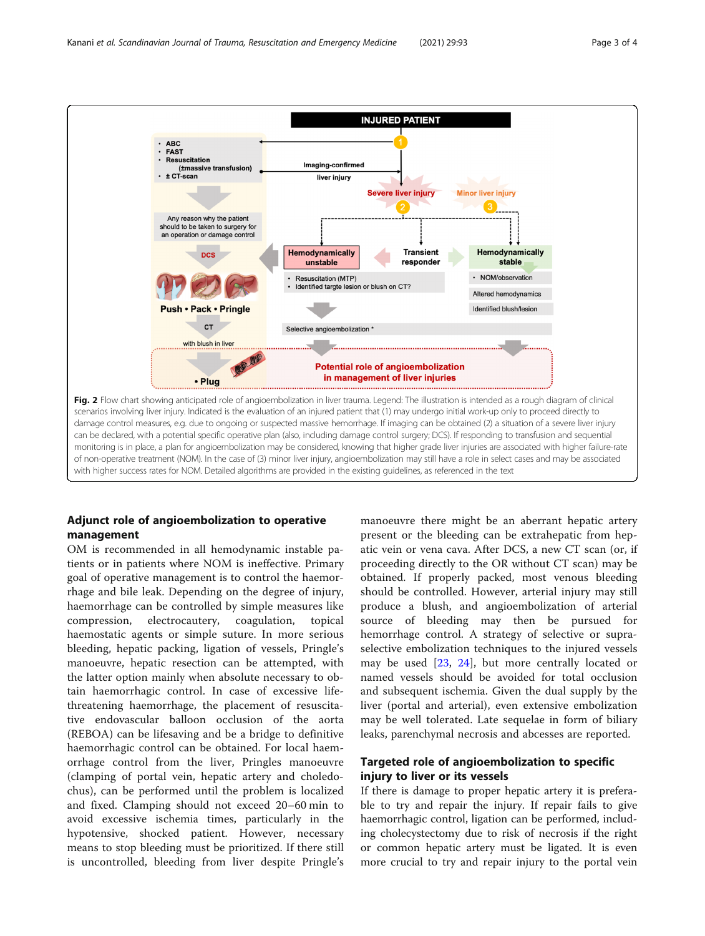<span id="page-2-0"></span>

# Adjunct role of angioembolization to operative management

OM is recommended in all hemodynamic instable patients or in patients where NOM is ineffective. Primary goal of operative management is to control the haemorrhage and bile leak. Depending on the degree of injury, haemorrhage can be controlled by simple measures like compression, electrocautery, coagulation, topical haemostatic agents or simple suture. In more serious bleeding, hepatic packing, ligation of vessels, Pringle's manoeuvre, hepatic resection can be attempted, with the latter option mainly when absolute necessary to obtain haemorrhagic control. In case of excessive lifethreatening haemorrhage, the placement of resuscitative endovascular balloon occlusion of the aorta (REBOA) can be lifesaving and be a bridge to definitive haemorrhagic control can be obtained. For local haemorrhage control from the liver, Pringles manoeuvre (clamping of portal vein, hepatic artery and choledochus), can be performed until the problem is localized and fixed. Clamping should not exceed 20–60 min to avoid excessive ischemia times, particularly in the hypotensive, shocked patient. However, necessary means to stop bleeding must be prioritized. If there still is uncontrolled, bleeding from liver despite Pringle's

manoeuvre there might be an aberrant hepatic artery present or the bleeding can be extrahepatic from hepatic vein or vena cava. After DCS, a new CT scan (or, if proceeding directly to the OR without CT scan) may be obtained. If properly packed, most venous bleeding should be controlled. However, arterial injury may still produce a blush, and angioembolization of arterial source of bleeding may then be pursued for hemorrhage control. A strategy of selective or supraselective embolization techniques to the injured vessels may be used [[23,](#page-3-0) [24\]](#page-3-0), but more centrally located or named vessels should be avoided for total occlusion and subsequent ischemia. Given the dual supply by the liver (portal and arterial), even extensive embolization may be well tolerated. Late sequelae in form of biliary leaks, parenchymal necrosis and abcesses are reported.

# Targeted role of angioembolization to specific injury to liver or its vessels

If there is damage to proper hepatic artery it is preferable to try and repair the injury. If repair fails to give haemorrhagic control, ligation can be performed, including cholecystectomy due to risk of necrosis if the right or common hepatic artery must be ligated. It is even more crucial to try and repair injury to the portal vein